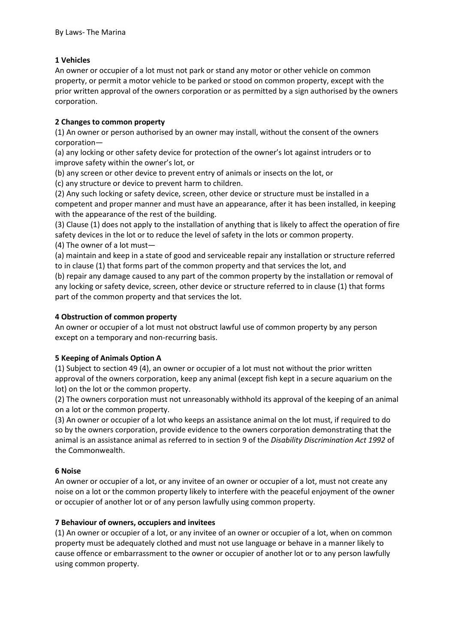#### **1 Vehicles**

An owner or occupier of a lot must not park or stand any motor or other vehicle on common property, or permit a motor vehicle to be parked or stood on common property, except with the prior written approval of the owners corporation or as permitted by a sign authorised by the owners corporation.

#### **2 Changes to common property**

(1) An owner or person authorised by an owner may install, without the consent of the owners corporation—

(a) any locking or other safety device for protection of the owner's lot against intruders or to improve safety within the owner's lot, or

(b) any screen or other device to prevent entry of animals or insects on the lot, or

(c) any structure or device to prevent harm to children.

(2) Any such locking or safety device, screen, other device or structure must be installed in a competent and proper manner and must have an appearance, after it has been installed, in keeping with the appearance of the rest of the building.

(3) Clause (1) does not apply to the installation of anything that is likely to affect the operation of fire safety devices in the lot or to reduce the level of safety in the lots or common property.

(4) The owner of a lot must—

(a) maintain and keep in a state of good and serviceable repair any installation or structure referred to in clause (1) that forms part of the common property and that services the lot, and

(b) repair any damage caused to any part of the common property by the installation or removal of any locking or safety device, screen, other device or structure referred to in clause (1) that forms part of the common property and that services the lot.

#### **4 Obstruction of common property**

An owner or occupier of a lot must not obstruct lawful use of common property by any person except on a temporary and non-recurring basis.

#### **5 Keeping of Animals Option A**

(1) Subject to section 49 (4), an owner or occupier of a lot must not without the prior written approval of the owners corporation, keep any animal (except fish kept in a secure aquarium on the lot) on the lot or the common property.

(2) The owners corporation must not unreasonably withhold its approval of the keeping of an animal on a lot or the common property.

(3) An owner or occupier of a lot who keeps an assistance animal on the lot must, if required to do so by the owners corporation, provide evidence to the owners corporation demonstrating that the animal is an assistance animal as referred to in section 9 of the *Disability Discrimination Act 1992* of the Commonwealth.

#### **6 Noise**

An owner or occupier of a lot, or any invitee of an owner or occupier of a lot, must not create any noise on a lot or the common property likely to interfere with the peaceful enjoyment of the owner or occupier of another lot or of any person lawfully using common property.

#### **7 Behaviour of owners, occupiers and invitees**

(1) An owner or occupier of a lot, or any invitee of an owner or occupier of a lot, when on common property must be adequately clothed and must not use language or behave in a manner likely to cause offence or embarrassment to the owner or occupier of another lot or to any person lawfully using common property.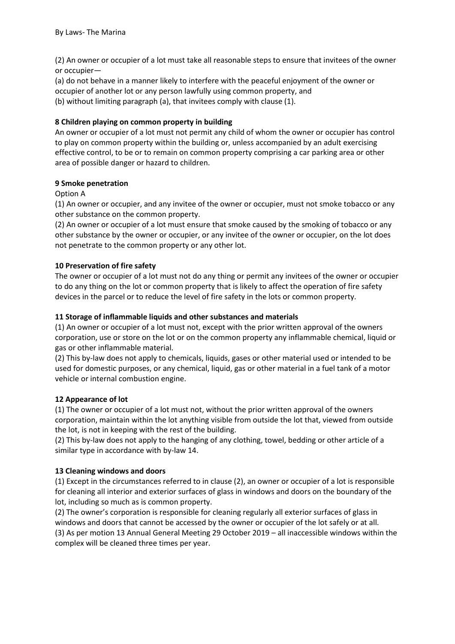(2) An owner or occupier of a lot must take all reasonable steps to ensure that invitees of the owner or occupier—

(a) do not behave in a manner likely to interfere with the peaceful enjoyment of the owner or occupier of another lot or any person lawfully using common property, and

(b) without limiting paragraph (a), that invitees comply with clause (1).

#### **8 Children playing on common property in building**

An owner or occupier of a lot must not permit any child of whom the owner or occupier has control to play on common property within the building or, unless accompanied by an adult exercising effective control, to be or to remain on common property comprising a car parking area or other area of possible danger or hazard to children.

#### **9 Smoke penetration**

Option A

(1) An owner or occupier, and any invitee of the owner or occupier, must not smoke tobacco or any other substance on the common property.

(2) An owner or occupier of a lot must ensure that smoke caused by the smoking of tobacco or any other substance by the owner or occupier, or any invitee of the owner or occupier, on the lot does not penetrate to the common property or any other lot.

### **10 Preservation of fire safety**

The owner or occupier of a lot must not do any thing or permit any invitees of the owner or occupier to do any thing on the lot or common property that is likely to affect the operation of fire safety devices in the parcel or to reduce the level of fire safety in the lots or common property.

### **11 Storage of inflammable liquids and other substances and materials**

(1) An owner or occupier of a lot must not, except with the prior written approval of the owners corporation, use or store on the lot or on the common property any inflammable chemical, liquid or gas or other inflammable material.

(2) This by-law does not apply to chemicals, liquids, gases or other material used or intended to be used for domestic purposes, or any chemical, liquid, gas or other material in a fuel tank of a motor vehicle or internal combustion engine.

# **12 Appearance of lot**

(1) The owner or occupier of a lot must not, without the prior written approval of the owners corporation, maintain within the lot anything visible from outside the lot that, viewed from outside the lot, is not in keeping with the rest of the building.

(2) This by-law does not apply to the hanging of any clothing, towel, bedding or other article of a similar type in accordance with by-law 14.

# **13 Cleaning windows and doors**

(1) Except in the circumstances referred to in clause (2), an owner or occupier of a lot is responsible for cleaning all interior and exterior surfaces of glass in windows and doors on the boundary of the lot, including so much as is common property.

(2) The owner's corporation is responsible for cleaning regularly all exterior surfaces of glass in windows and doors that cannot be accessed by the owner or occupier of the lot safely or at all. (3) As per motion 13 Annual General Meeting 29 October 2019 – all inaccessible windows within the complex will be cleaned three times per year.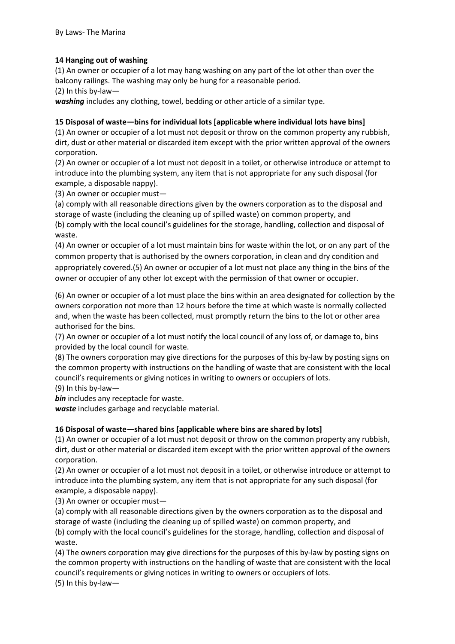## **14 Hanging out of washing**

(1) An owner or occupier of a lot may hang washing on any part of the lot other than over the balcony railings. The washing may only be hung for a reasonable period.

(2) In this by-law—

washing includes any clothing, towel, bedding or other article of a similar type.

### **15 Disposal of waste—bins for individual lots [applicable where individual lots have bins]**

(1) An owner or occupier of a lot must not deposit or throw on the common property any rubbish, dirt, dust or other material or discarded item except with the prior written approval of the owners corporation.

(2) An owner or occupier of a lot must not deposit in a toilet, or otherwise introduce or attempt to introduce into the plumbing system, any item that is not appropriate for any such disposal (for example, a disposable nappy).

(3) An owner or occupier must—

(a) comply with all reasonable directions given by the owners corporation as to the disposal and storage of waste (including the cleaning up of spilled waste) on common property, and (b) comply with the local council's guidelines for the storage, handling, collection and disposal of waste.

(4) An owner or occupier of a lot must maintain bins for waste within the lot, or on any part of the common property that is authorised by the owners corporation, in clean and dry condition and appropriately covered.(5) An owner or occupier of a lot must not place any thing in the bins of the owner or occupier of any other lot except with the permission of that owner or occupier.

(6) An owner or occupier of a lot must place the bins within an area designated for collection by the owners corporation not more than 12 hours before the time at which waste is normally collected and, when the waste has been collected, must promptly return the bins to the lot or other area authorised for the bins.

(7) An owner or occupier of a lot must notify the local council of any loss of, or damage to, bins provided by the local council for waste.

(8) The owners corporation may give directions for the purposes of this by-law by posting signs on the common property with instructions on the handling of waste that are consistent with the local council's requirements or giving notices in writing to owners or occupiers of lots.

(9) In this by-law—

*bin* includes any receptacle for waste.

*waste* includes garbage and recyclable material.

# **16 Disposal of waste—shared bins [applicable where bins are shared by lots]**

(1) An owner or occupier of a lot must not deposit or throw on the common property any rubbish, dirt, dust or other material or discarded item except with the prior written approval of the owners corporation.

(2) An owner or occupier of a lot must not deposit in a toilet, or otherwise introduce or attempt to introduce into the plumbing system, any item that is not appropriate for any such disposal (for example, a disposable nappy).

(3) An owner or occupier must—

(a) comply with all reasonable directions given by the owners corporation as to the disposal and storage of waste (including the cleaning up of spilled waste) on common property, and

(b) comply with the local council's guidelines for the storage, handling, collection and disposal of waste.

(4) The owners corporation may give directions for the purposes of this by-law by posting signs on the common property with instructions on the handling of waste that are consistent with the local council's requirements or giving notices in writing to owners or occupiers of lots.

(5) In this by-law—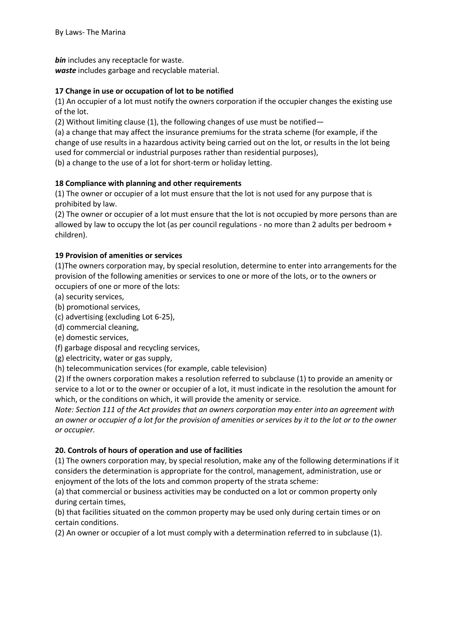*bin* includes any receptacle for waste.

*waste* includes garbage and recyclable material.

### **17 Change in use or occupation of lot to be notified**

(1) An occupier of a lot must notify the owners corporation if the occupier changes the existing use of the lot.

(2) Without limiting clause (1), the following changes of use must be notified—

(a) a change that may affect the insurance premiums for the strata scheme (for example, if the change of use results in a hazardous activity being carried out on the lot, or results in the lot being used for commercial or industrial purposes rather than residential purposes),

(b) a change to the use of a lot for short-term or holiday letting.

### **18 Compliance with planning and other requirements**

(1) The owner or occupier of a lot must ensure that the lot is not used for any purpose that is prohibited by law.

(2) The owner or occupier of a lot must ensure that the lot is not occupied by more persons than are allowed by law to occupy the lot (as per council regulations - no more than 2 adults per bedroom + children).

### **19 Provision of amenities or services**

(1)The owners corporation may, by special resolution, determine to enter into arrangements for the provision of the following amenities or services to one or more of the lots, or to the owners or occupiers of one or more of the lots:

- (a) security services,
- (b) promotional services,
- (c) advertising (excluding Lot 6-25),
- (d) commercial cleaning,

(e) domestic services,

(f) garbage disposal and recycling services,

(g) electricity, water or gas supply,

(h) telecommunication services (for example, cable television)

(2) If the owners corporation makes a resolution referred to subclause (1) to provide an amenity or service to a lot or to the owner or occupier of a lot, it must indicate in the resolution the amount for which, or the conditions on which, it will provide the amenity or service.

*Note: Section 111 of the Act provides that an owners corporation may enter into an agreement with an owner or occupier of a lot for the provision of amenities or services by it to the lot or to the owner or occupier.* 

#### **20. Controls of hours of operation and use of facilities**

(1) The owners corporation may, by special resolution, make any of the following determinations if it considers the determination is appropriate for the control, management, administration, use or enjoyment of the lots of the lots and common property of the strata scheme:

(a) that commercial or business activities may be conducted on a lot or common property only during certain times,

(b) that facilities situated on the common property may be used only during certain times or on certain conditions.

(2) An owner or occupier of a lot must comply with a determination referred to in subclause (1).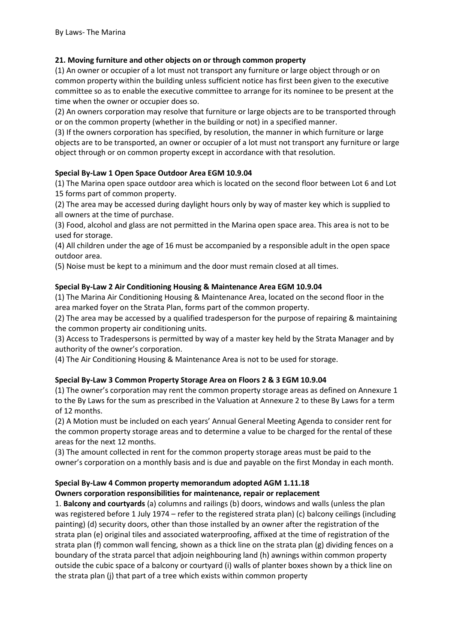# **21. Moving furniture and other objects on or through common property**

(1) An owner or occupier of a lot must not transport any furniture or large object through or on common property within the building unless sufficient notice has first been given to the executive committee so as to enable the executive committee to arrange for its nominee to be present at the time when the owner or occupier does so.

(2) An owners corporation may resolve that furniture or large objects are to be transported through or on the common property (whether in the building or not) in a specified manner.

(3) If the owners corporation has specified, by resolution, the manner in which furniture or large objects are to be transported, an owner or occupier of a lot must not transport any furniture or large object through or on common property except in accordance with that resolution.

### **Special By-Law 1 Open Space Outdoor Area EGM 10.9.04**

(1) The Marina open space outdoor area which is located on the second floor between Lot 6 and Lot 15 forms part of common property.

(2) The area may be accessed during daylight hours only by way of master key which is supplied to all owners at the time of purchase.

(3) Food, alcohol and glass are not permitted in the Marina open space area. This area is not to be used for storage.

(4) All children under the age of 16 must be accompanied by a responsible adult in the open space outdoor area.

(5) Noise must be kept to a minimum and the door must remain closed at all times.

### **Special By-Law 2 Air Conditioning Housing & Maintenance Area EGM 10.9.04**

(1) The Marina Air Conditioning Housing & Maintenance Area, located on the second floor in the area marked foyer on the Strata Plan, forms part of the common property.

(2) The area may be accessed by a qualified tradesperson for the purpose of repairing & maintaining the common property air conditioning units.

(3) Access to Tradespersons is permitted by way of a master key held by the Strata Manager and by authority of the owner's corporation.

(4) The Air Conditioning Housing & Maintenance Area is not to be used for storage.

# **Special By-Law 3 Common Property Storage Area on Floors 2 & 3 EGM 10.9.04**

(1) The owner's corporation may rent the common property storage areas as defined on Annexure 1 to the By Laws for the sum as prescribed in the Valuation at Annexure 2 to these By Laws for a term of 12 months.

(2) A Motion must be included on each years' Annual General Meeting Agenda to consider rent for the common property storage areas and to determine a value to be charged for the rental of these areas for the next 12 months.

(3) The amount collected in rent for the common property storage areas must be paid to the owner's corporation on a monthly basis and is due and payable on the first Monday in each month.

# **Special By-Law 4 Common property memorandum adopted AGM 1.11.18**

#### **Owners corporation responsibilities for maintenance, repair or replacement**

1. **Balcony and courtyards** (a) columns and railings (b) doors, windows and walls (unless the plan was registered before 1 July 1974 – refer to the registered strata plan) (c) balcony ceilings (including painting) (d) security doors, other than those installed by an owner after the registration of the strata plan (e) original tiles and associated waterproofing, affixed at the time of registration of the strata plan (f) common wall fencing, shown as a thick line on the strata plan (g) dividing fences on a boundary of the strata parcel that adjoin neighbouring land (h) awnings within common property outside the cubic space of a balcony or courtyard (i) walls of planter boxes shown by a thick line on the strata plan (j) that part of a tree which exists within common property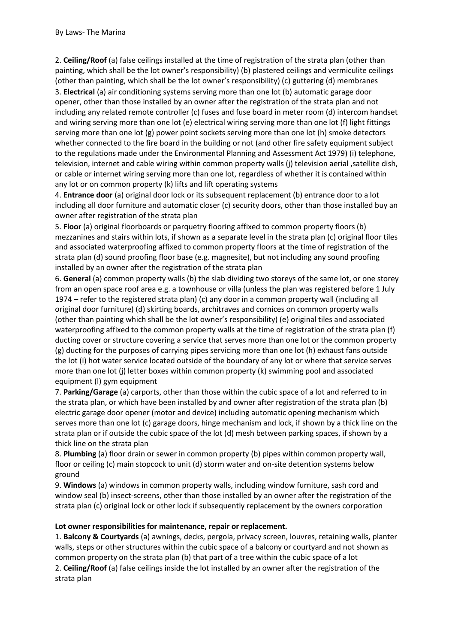2. **Ceiling/Roof** (a) false ceilings installed at the time of registration of the strata plan (other than painting, which shall be the lot owner's responsibility) (b) plastered ceilings and vermiculite ceilings (other than painting, which shall be the lot owner's responsibility) (c) guttering (d) membranes 3. **Electrical** (a) air conditioning systems serving more than one lot (b) automatic garage door opener, other than those installed by an owner after the registration of the strata plan and not including any related remote controller (c) fuses and fuse board in meter room (d) intercom handset and wiring serving more than one lot (e) electrical wiring serving more than one lot (f) light fittings serving more than one lot (g) power point sockets serving more than one lot (h) smoke detectors whether connected to the fire board in the building or not (and other fire safety equipment subject to the regulations made under the Environmental Planning and Assessment Act 1979) (i) telephone, television, internet and cable wiring within common property walls (j) television aerial ,satellite dish, or cable or internet wiring serving more than one lot, regardless of whether it is contained within any lot or on common property (k) lifts and lift operating systems

4. **Entrance door** (a) original door lock or its subsequent replacement (b) entrance door to a lot including all door furniture and automatic closer (c) security doors, other than those installed buy an owner after registration of the strata plan

5. **Floor** (a) original floorboards or parquetry flooring affixed to common property floors (b) mezzanines and stairs within lots, if shown as a separate level in the strata plan (c) original floor tiles and associated waterproofing affixed to common property floors at the time of registration of the strata plan (d) sound proofing floor base (e.g. magnesite), but not including any sound proofing installed by an owner after the registration of the strata plan

6. **General** (a) common property walls (b) the slab dividing two storeys of the same lot, or one storey from an open space roof area e.g. a townhouse or villa (unless the plan was registered before 1 July 1974 – refer to the registered strata plan) (c) any door in a common property wall (including all original door furniture) (d) skirting boards, architraves and cornices on common property walls (other than painting which shall be the lot owner's responsibility) (e) original tiles and associated waterproofing affixed to the common property walls at the time of registration of the strata plan (f) ducting cover or structure covering a service that serves more than one lot or the common property (g) ducting for the purposes of carrying pipes servicing more than one lot (h) exhaust fans outside the lot (i) hot water service located outside of the boundary of any lot or where that service serves more than one lot (j) letter boxes within common property (k) swimming pool and associated equipment (l) gym equipment

7. **Parking/Garage** (a) carports, other than those within the cubic space of a lot and referred to in the strata plan, or which have been installed by and owner after registration of the strata plan (b) electric garage door opener (motor and device) including automatic opening mechanism which serves more than one lot (c) garage doors, hinge mechanism and lock, if shown by a thick line on the strata plan or if outside the cubic space of the lot (d) mesh between parking spaces, if shown by a thick line on the strata plan

8. **Plumbing** (a) floor drain or sewer in common property (b) pipes within common property wall, floor or ceiling (c) main stopcock to unit (d) storm water and on-site detention systems below ground

9. **Windows** (a) windows in common property walls, including window furniture, sash cord and window seal (b) insect-screens, other than those installed by an owner after the registration of the strata plan (c) original lock or other lock if subsequently replacement by the owners corporation

#### **Lot owner responsibilities for maintenance, repair or replacement.**

1. **Balcony & Courtyards** (a) awnings, decks, pergola, privacy screen, louvres, retaining walls, planter walls, steps or other structures within the cubic space of a balcony or courtyard and not shown as common property on the strata plan (b) that part of a tree within the cubic space of a lot 2. **Ceiling/Roof** (a) false ceilings inside the lot installed by an owner after the registration of the strata plan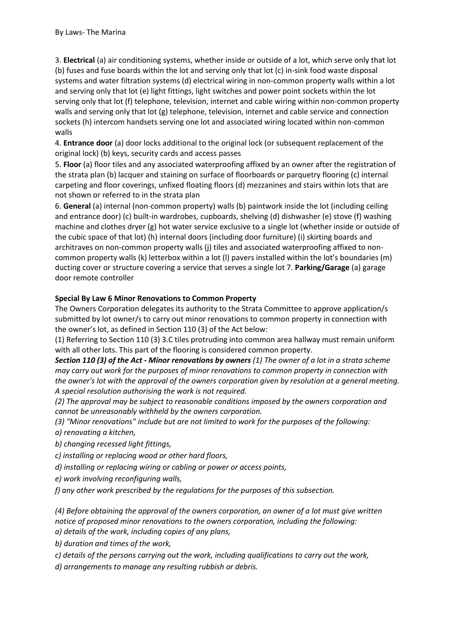3. **Electrical** (a) air conditioning systems, whether inside or outside of a lot, which serve only that lot (b) fuses and fuse boards within the lot and serving only that lot (c) in-sink food waste disposal systems and water filtration systems (d) electrical wiring in non-common property walls within a lot and serving only that lot (e) light fittings, light switches and power point sockets within the lot serving only that lot (f) telephone, television, internet and cable wiring within non-common property walls and serving only that lot (g) telephone, television, internet and cable service and connection sockets (h) intercom handsets serving one lot and associated wiring located within non-common walls

4. **Entrance door** (a) door locks additional to the original lock (or subsequent replacement of the original lock) (b) keys, security cards and access passes

5. **Floor** (a) floor tiles and any associated waterproofing affixed by an owner after the registration of the strata plan (b) lacquer and staining on surface of floorboards or parquetry flooring (c) internal carpeting and floor coverings, unfixed floating floors (d) mezzanines and stairs within lots that are not shown or referred to in the strata plan

6. **General** (a) internal (non-common property) walls (b) paintwork inside the lot (including ceiling and entrance door) (c) built-in wardrobes, cupboards, shelving (d) dishwasher (e) stove (f) washing machine and clothes dryer (g) hot water service exclusive to a single lot (whether inside or outside of the cubic space of that lot) (h) internal doors (including door furniture) (i) skirting boards and architraves on non-common property walls (j) tiles and associated waterproofing affixed to noncommon property walls (k) letterbox within a lot (l) pavers installed within the lot's boundaries (m) ducting cover or structure covering a service that serves a single lot 7. **Parking/Garage** (a) garage door remote controller

# **Special By Law 6 Minor Renovations to Common Property**

The Owners Corporation delegates its authority to the Strata Committee to approve application/s submitted by lot owner/s to carry out minor renovations to common property in connection with the owner's lot, as defined in Section 110 (3) of the Act below:

(1) Referring to Section 110 (3) 3.C tiles protruding into common area hallway must remain uniform with all other lots. This part of the flooring is considered common property.

*Section 110 (3) of the Act - Minor renovations by owners (1) The owner of a lot in a strata scheme may carry out work for the purposes of minor renovations to common property in connection with the owner's lot with the approval of the owners corporation given by resolution at a general meeting. A special resolution authorising the work is not required.* 

*(2) The approval may be subject to reasonable conditions imposed by the owners corporation and cannot be unreasonably withheld by the owners corporation.* 

*(3) "Minor renovations" include but are not limited to work for the purposes of the following: a) renovating a kitchen,* 

*b) changing recessed light fittings,* 

*c) installing or replacing wood or other hard floors,* 

*d) installing or replacing wiring or cabling or power or access points,* 

*e) work involving reconfiguring walls,* 

*f) any other work prescribed by the regulations for the purposes of this subsection.* 

*(4) Before obtaining the approval of the owners corporation, an owner of a lot must give written notice of proposed minor renovations to the owners corporation, including the following: a) details of the work, including copies of any plans,* 

*b) duration and times of the work,* 

*c) details of the persons carrying out the work, including qualifications to carry out the work,* 

*d) arrangements to manage any resulting rubbish or debris.*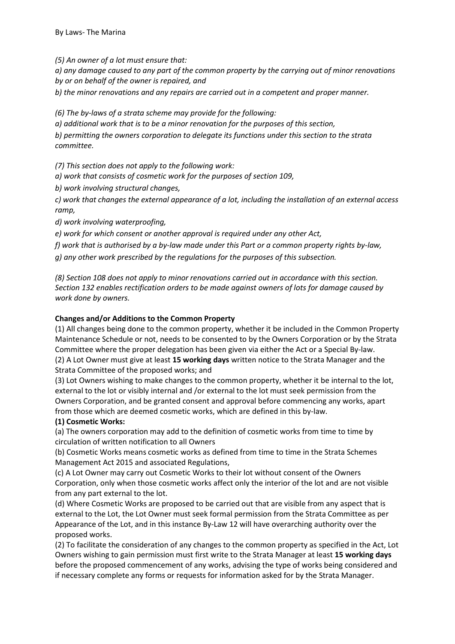*(5) An owner of a lot must ensure that:* 

*a) any damage caused to any part of the common property by the carrying out of minor renovations by or on behalf of the owner is repaired, and* 

*b) the minor renovations and any repairs are carried out in a competent and proper manner.* 

*(6) The by-laws of a strata scheme may provide for the following:* 

*a) additional work that is to be a minor renovation for the purposes of this section, b) permitting the owners corporation to delegate its functions under this section to the strata committee.* 

*(7) This section does not apply to the following work:* 

*a) work that consists of cosmetic work for the purposes of section 109,* 

*b) work involving structural changes,* 

*c) work that changes the external appearance of a lot, including the installation of an external access ramp,* 

*d) work involving waterproofing,* 

*e) work for which consent or another approval is required under any other Act,* 

*f) work that is authorised by a by-law made under this Part or a common property rights by-law, g) any other work prescribed by the regulations for the purposes of this subsection.* 

*(8) Section 108 does not apply to minor renovations carried out in accordance with this section. Section 132 enables rectification orders to be made against owners of lots for damage caused by work done by owners.* 

## **Changes and/or Additions to the Common Property**

(1) All changes being done to the common property, whether it be included in the Common Property Maintenance Schedule or not, needs to be consented to by the Owners Corporation or by the Strata Committee where the proper delegation has been given via either the Act or a Special By-law. (2) A Lot Owner must give at least **15 working days** written notice to the Strata Manager and the Strata Committee of the proposed works; and

(3) Lot Owners wishing to make changes to the common property, whether it be internal to the lot, external to the lot or visibly internal and /or external to the lot must seek permission from the Owners Corporation, and be granted consent and approval before commencing any works, apart from those which are deemed cosmetic works, which are defined in this by-law.

# **(1) Cosmetic Works:**

(a) The owners corporation may add to the definition of cosmetic works from time to time by circulation of written notification to all Owners

(b) Cosmetic Works means cosmetic works as defined from time to time in the Strata Schemes Management Act 2015 and associated Regulations,

(c) A Lot Owner may carry out Cosmetic Works to their lot without consent of the Owners Corporation, only when those cosmetic works affect only the interior of the lot and are not visible from any part external to the lot.

(d) Where Cosmetic Works are proposed to be carried out that are visible from any aspect that is external to the Lot, the Lot Owner must seek formal permission from the Strata Committee as per Appearance of the Lot, and in this instance By-Law 12 will have overarching authority over the proposed works.

(2) To facilitate the consideration of any changes to the common property as specified in the Act, Lot Owners wishing to gain permission must first write to the Strata Manager at least **15 working days**  before the proposed commencement of any works, advising the type of works being considered and if necessary complete any forms or requests for information asked for by the Strata Manager.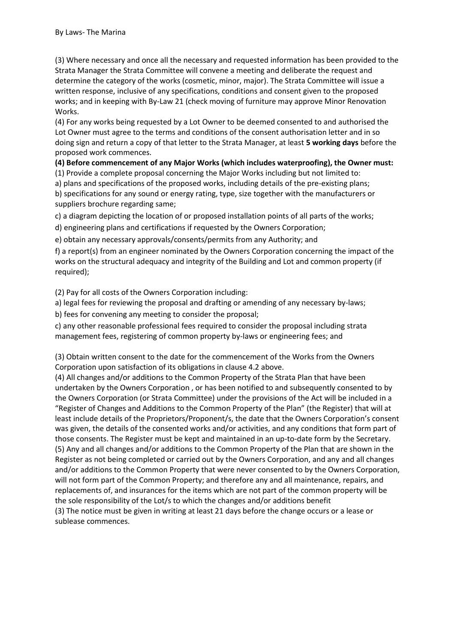(3) Where necessary and once all the necessary and requested information has been provided to the Strata Manager the Strata Committee will convene a meeting and deliberate the request and determine the category of the works (cosmetic, minor, major). The Strata Committee will issue a written response, inclusive of any specifications, conditions and consent given to the proposed works; and in keeping with By-Law 21 (check moving of furniture may approve Minor Renovation Works.

(4) For any works being requested by a Lot Owner to be deemed consented to and authorised the Lot Owner must agree to the terms and conditions of the consent authorisation letter and in so doing sign and return a copy of that letter to the Strata Manager, at least **5 working days** before the proposed work commences.

#### **(4) Before commencement of any Major Works (which includes waterproofing), the Owner must:**

(1) Provide a complete proposal concerning the Major Works including but not limited to:

a) plans and specifications of the proposed works, including details of the pre-existing plans; b) specifications for any sound or energy rating, type, size together with the manufacturers or suppliers brochure regarding same;

c) a diagram depicting the location of or proposed installation points of all parts of the works;

d) engineering plans and certifications if requested by the Owners Corporation;

e) obtain any necessary approvals/consents/permits from any Authority; and

f) a report(s) from an engineer nominated by the Owners Corporation concerning the impact of the works on the structural adequacy and integrity of the Building and Lot and common property (if required);

(2) Pay for all costs of the Owners Corporation including:

a) legal fees for reviewing the proposal and drafting or amending of any necessary by-laws;

b) fees for convening any meeting to consider the proposal;

c) any other reasonable professional fees required to consider the proposal including strata management fees, registering of common property by-laws or engineering fees; and

(3) Obtain written consent to the date for the commencement of the Works from the Owners Corporation upon satisfaction of its obligations in clause 4.2 above.

(4) All changes and/or additions to the Common Property of the Strata Plan that have been undertaken by the Owners Corporation , or has been notified to and subsequently consented to by the Owners Corporation (or Strata Committee) under the provisions of the Act will be included in a "Register of Changes and Additions to the Common Property of the Plan" (the Register) that will at least include details of the Proprietors/Proponent/s, the date that the Owners Corporation's consent was given, the details of the consented works and/or activities, and any conditions that form part of those consents. The Register must be kept and maintained in an up-to-date form by the Secretary. (5) Any and all changes and/or additions to the Common Property of the Plan that are shown in the Register as not being completed or carried out by the Owners Corporation, and any and all changes and/or additions to the Common Property that were never consented to by the Owners Corporation, will not form part of the Common Property; and therefore any and all maintenance, repairs, and replacements of, and insurances for the items which are not part of the common property will be the sole responsibility of the Lot/s to which the changes and/or additions benefit (3) The notice must be given in writing at least 21 days before the change occurs or a lease or sublease commences.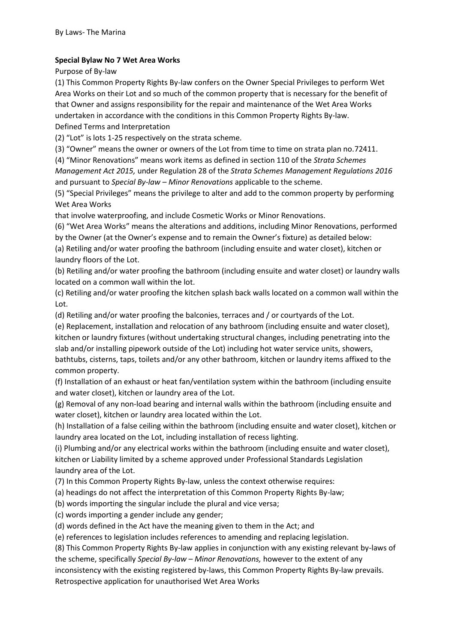### **Special Bylaw No 7 Wet Area Works**

Purpose of By-law

(1) This Common Property Rights By-law confers on the Owner Special Privileges to perform Wet Area Works on their Lot and so much of the common property that is necessary for the benefit of that Owner and assigns responsibility for the repair and maintenance of the Wet Area Works undertaken in accordance with the conditions in this Common Property Rights By-law. Defined Terms and Interpretation

(2) "Lot" is lots 1-25 respectively on the strata scheme.

(3) "Owner" means the owner or owners of the Lot from time to time on strata plan no.72411.

(4) "Minor Renovations" means work items as defined in section 110 of the *Strata Schemes Management Act 2015,* under Regulation 28 of the *Strata Schemes Management Regulations 2016*  and pursuant to *Special By-law – Minor Renovations* applicable to the scheme.

(5) "Special Privileges" means the privilege to alter and add to the common property by performing Wet Area Works

that involve waterproofing, and include Cosmetic Works or Minor Renovations.

(6) "Wet Area Works" means the alterations and additions, including Minor Renovations, performed by the Owner (at the Owner's expense and to remain the Owner's fixture) as detailed below:

(a) Retiling and/or water proofing the bathroom (including ensuite and water closet), kitchen or laundry floors of the Lot.

(b) Retiling and/or water proofing the bathroom (including ensuite and water closet) or laundry walls located on a common wall within the lot.

(c) Retiling and/or water proofing the kitchen splash back walls located on a common wall within the Lot.

(d) Retiling and/or water proofing the balconies, terraces and / or courtyards of the Lot.

(e) Replacement, installation and relocation of any bathroom (including ensuite and water closet), kitchen or laundry fixtures (without undertaking structural changes, including penetrating into the slab and/or installing pipework outside of the Lot) including hot water service units, showers, bathtubs, cisterns, taps, toilets and/or any other bathroom, kitchen or laundry items affixed to the common property.

(f) Installation of an exhaust or heat fan/ventilation system within the bathroom (including ensuite and water closet), kitchen or laundry area of the Lot.

(g) Removal of any non-load bearing and internal walls within the bathroom (including ensuite and water closet), kitchen or laundry area located within the Lot.

(h) Installation of a false ceiling within the bathroom (including ensuite and water closet), kitchen or laundry area located on the Lot, including installation of recess lighting.

(i) Plumbing and/or any electrical works within the bathroom (including ensuite and water closet), kitchen or Liability limited by a scheme approved under Professional Standards Legislation laundry area of the Lot.

(7) In this Common Property Rights By-law, unless the context otherwise requires:

(a) headings do not affect the interpretation of this Common Property Rights By-law;

(b) words importing the singular include the plural and vice versa;

(c) words importing a gender include any gender;

(d) words defined in the Act have the meaning given to them in the Act; and

(e) references to legislation includes references to amending and replacing legislation.

(8) This Common Property Rights By-law applies in conjunction with any existing relevant by-laws of the scheme, specifically *Special By-law – Minor Renovations,* however to the extent of any

inconsistency with the existing registered by-laws, this Common Property Rights By-law prevails.

Retrospective application for unauthorised Wet Area Works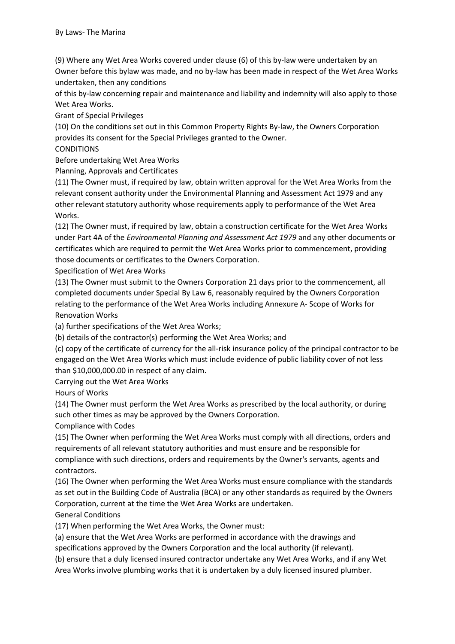(9) Where any Wet Area Works covered under clause (6) of this by-law were undertaken by an Owner before this bylaw was made, and no by-law has been made in respect of the Wet Area Works undertaken, then any conditions

of this by-law concerning repair and maintenance and liability and indemnity will also apply to those Wet Area Works.

Grant of Special Privileges

(10) On the conditions set out in this Common Property Rights By-law, the Owners Corporation provides its consent for the Special Privileges granted to the Owner.

### **CONDITIONS**

Before undertaking Wet Area Works

Planning, Approvals and Certificates

(11) The Owner must, if required by law, obtain written approval for the Wet Area Works from the relevant consent authority under the Environmental Planning and Assessment Act 1979 and any other relevant statutory authority whose requirements apply to performance of the Wet Area Works.

(12) The Owner must, if required by law, obtain a construction certificate for the Wet Area Works under Part 4A of the *Environmental Planning and Assessment Act 1979* and any other documents or certificates which are required to permit the Wet Area Works prior to commencement, providing those documents or certificates to the Owners Corporation.

Specification of Wet Area Works

(13) The Owner must submit to the Owners Corporation 21 days prior to the commencement, all completed documents under Special By Law 6, reasonably required by the Owners Corporation relating to the performance of the Wet Area Works including Annexure A- Scope of Works for Renovation Works

(a) further specifications of the Wet Area Works;

(b) details of the contractor(s) performing the Wet Area Works; and

(c) copy of the certificate of currency for the all-risk insurance policy of the principal contractor to be engaged on the Wet Area Works which must include evidence of public liability cover of not less than \$10,000,000.00 in respect of any claim.

Carrying out the Wet Area Works

Hours of Works

(14) The Owner must perform the Wet Area Works as prescribed by the local authority, or during such other times as may be approved by the Owners Corporation.

Compliance with Codes

(15) The Owner when performing the Wet Area Works must comply with all directions, orders and requirements of all relevant statutory authorities and must ensure and be responsible for compliance with such directions, orders and requirements by the Owner's servants, agents and contractors.

(16) The Owner when performing the Wet Area Works must ensure compliance with the standards as set out in the Building Code of Australia (BCA) or any other standards as required by the Owners Corporation, current at the time the Wet Area Works are undertaken.

General Conditions

(17) When performing the Wet Area Works, the Owner must:

(a) ensure that the Wet Area Works are performed in accordance with the drawings and specifications approved by the Owners Corporation and the local authority (if relevant).

(b) ensure that a duly licensed insured contractor undertake any Wet Area Works, and if any Wet Area Works involve plumbing works that it is undertaken by a duly licensed insured plumber.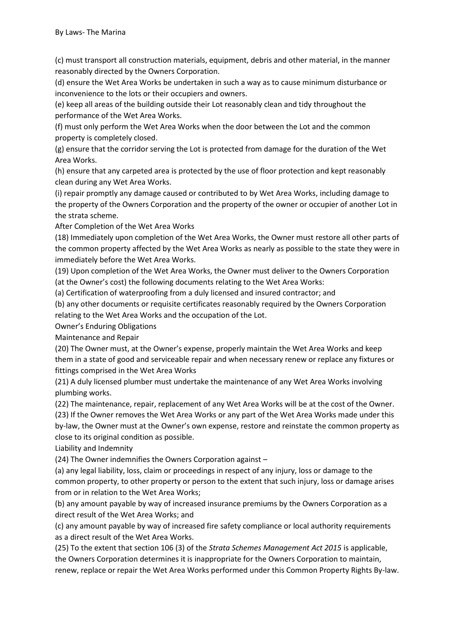(c) must transport all construction materials, equipment, debris and other material, in the manner reasonably directed by the Owners Corporation.

(d) ensure the Wet Area Works be undertaken in such a way as to cause minimum disturbance or inconvenience to the lots or their occupiers and owners.

(e) keep all areas of the building outside their Lot reasonably clean and tidy throughout the performance of the Wet Area Works.

(f) must only perform the Wet Area Works when the door between the Lot and the common property is completely closed.

(g) ensure that the corridor serving the Lot is protected from damage for the duration of the Wet Area Works.

(h) ensure that any carpeted area is protected by the use of floor protection and kept reasonably clean during any Wet Area Works.

(i) repair promptly any damage caused or contributed to by Wet Area Works, including damage to the property of the Owners Corporation and the property of the owner or occupier of another Lot in the strata scheme.

After Completion of the Wet Area Works

(18) Immediately upon completion of the Wet Area Works, the Owner must restore all other parts of the common property affected by the Wet Area Works as nearly as possible to the state they were in immediately before the Wet Area Works.

(19) Upon completion of the Wet Area Works, the Owner must deliver to the Owners Corporation (at the Owner's cost) the following documents relating to the Wet Area Works:

(a) Certification of waterproofing from a duly licensed and insured contractor; and

(b) any other documents or requisite certificates reasonably required by the Owners Corporation relating to the Wet Area Works and the occupation of the Lot.

Owner's Enduring Obligations

Maintenance and Repair

(20) The Owner must, at the Owner's expense, properly maintain the Wet Area Works and keep them in a state of good and serviceable repair and when necessary renew or replace any fixtures or fittings comprised in the Wet Area Works

(21) A duly licensed plumber must undertake the maintenance of any Wet Area Works involving plumbing works.

(22) The maintenance, repair, replacement of any Wet Area Works will be at the cost of the Owner. (23) If the Owner removes the Wet Area Works or any part of the Wet Area Works made under this by-law, the Owner must at the Owner's own expense, restore and reinstate the common property as close to its original condition as possible.

Liability and Indemnity

(24) The Owner indemnifies the Owners Corporation against –

(a) any legal liability, loss, claim or proceedings in respect of any injury, loss or damage to the common property, to other property or person to the extent that such injury, loss or damage arises from or in relation to the Wet Area Works;

(b) any amount payable by way of increased insurance premiums by the Owners Corporation as a direct result of the Wet Area Works; and

(c) any amount payable by way of increased fire safety compliance or local authority requirements as a direct result of the Wet Area Works.

(25) To the extent that section 106 (3) of the *Strata Schemes Management Act 2015* is applicable, the Owners Corporation determines it is inappropriate for the Owners Corporation to maintain, renew, replace or repair the Wet Area Works performed under this Common Property Rights By-law.